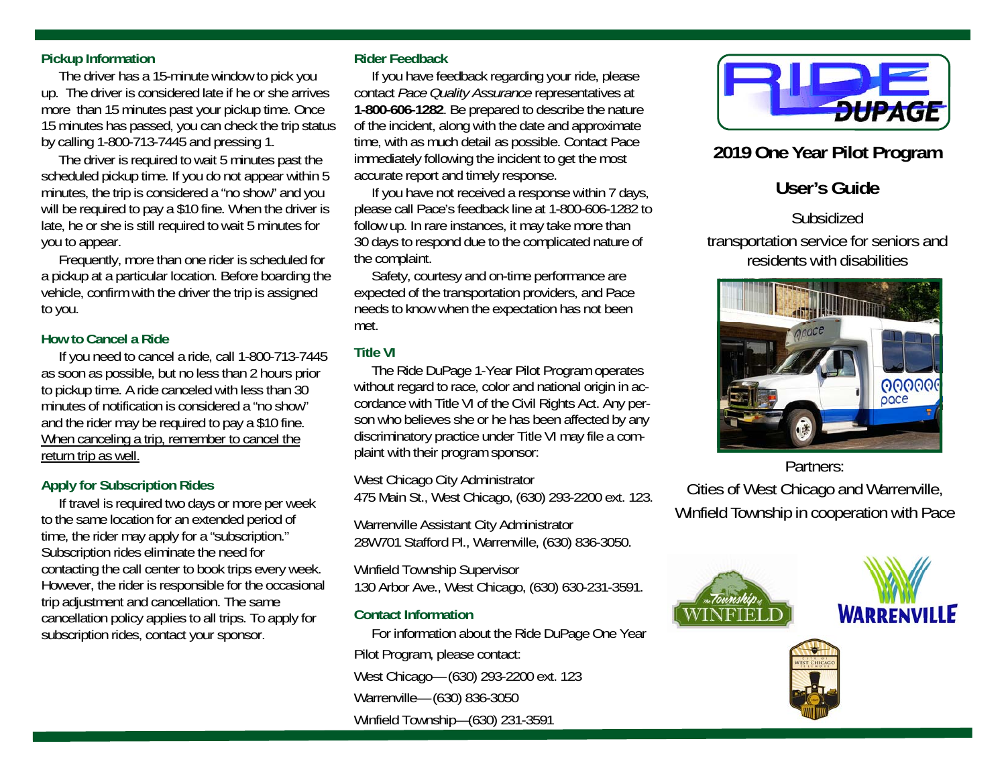#### **Pickup Information**

 The driver has a 15-minute window to pick you up. The driver is considered late if he or she arrives more than 15 minutes past your pickup time. Once 15 minutes has passed, you can check the trip status by calling 1-800-713-7445 and pressing 1.

 The driver is required to wait 5 minutes past the scheduled pickup time. If you do not appear within 5 minutes, the trip is considered a "no show" and you will be required to pay a \$10 fine. When the driver is late, he or she is still required to wait 5 minutes for you to appear.

 Frequently, more than one rider is scheduled for a pickup at a particular location. Before boarding the vehicle, confirm with the driver the trip is assigned to you.

## **How to Cancel a Ride**

 If you need to cancel a ride, call 1-800-713-7445 as soon as possible, but no less than 2 hours prior to pickup time. A ride canceled with less than 30 minutes of notification is considered a "no show" and the rider may be required to pay a \$10 fine. When canceling a trip, remember to cancel the return trip as well.

## **Apply for Subscription Rides**

 If travel is required two days or more per week to the same location for an extended period of time, the rider may apply for a "subscription." Subscription rides eliminate the need for contacting the call center to book trips every week. However, the rider is responsible for the occasional trip adjustment and cancellation. The same cancellation policy applies to all trips. To apply for subscription rides, contact your sponsor.

#### **Rider Feedback**

 If you have feedback regarding your ride, please contact *Pace Quality Assurance* representatives at **1-800-606-1282**. Be prepared to describe the nature of the incident, along with the date and approximate time, with as much detail as possible. Contact Pace immediately following the incident to get the most accurate report and timely response.

 If you have not received a response within 7 days, please call Pace's feedback line at 1-800-606-1282 to follow up. In rare instances, it may take more than 30 days to respond due to the complicated nature of the complaint.

 Safety, courtesy and on-time performance are expected of the transportation providers, and Pace needs to know when the expectation has not been met.

## **Title VI**

 The Ride DuPage 1-Year Pilot Program operates without regard to race, color and national origin in accordance with Title VI of the Civil Rights Act. Any person who believes she or he has been affected by any discriminatory practice under Title VI may file a complaint with their program sponsor:

West Chicago City Administrator 475 Main St., West Chicago, (630) 293-2200 ext. 123.

Warrenville Assistant City Administrator 28W701 Stafford Pl., Warrenville, (630) 836-3050.

Winfield Township Supervisor

130 Arbor Ave., West Chicago, (630) 630-231-3591.

## **Contact Information**

 For information about the Ride DuPage One Year Pilot Program, please contact: West Chicago— (630) 293-2200 ext. 123 Warrenville— (630) 836-3050 Winfield Township—(630) 231-3591



## **2019 One Year Pilot Program**

# **User's Guide**

Subsidized

transportation service for seniors and residents with disabilities



Partners:

Cities of West Chicago and Warrenville, Winfield Township in cooperation with Pace